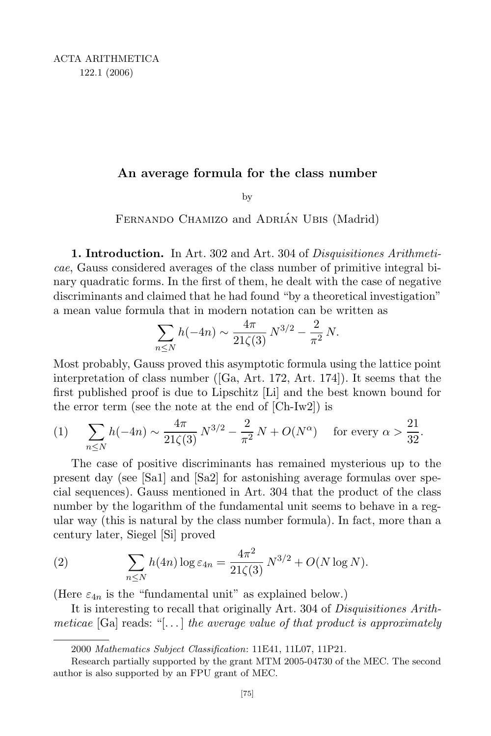## An average formula for the class number

by

FERNANDO CHAMIZO and ADRIÁN UBIS (Madrid)

1. Introduction. In Art. 302 and Art. 304 of Disquisitiones Arithmeticae, Gauss considered averages of the class number of primitive integral binary quadratic forms. In the first of them, he dealt with the case of negative discriminants and claimed that he had found "by a theoretical investigation" a mean value formula that in modern notation can be written as

$$
\sum_{n\leq N} h(-4n) \sim \frac{4\pi}{21\zeta(3)} N^{3/2} - \frac{2}{\pi^2} N.
$$

Most probably, Gauss proved this asymptotic formula using the lattice point interpretation of class number ([Ga, Art. 172, Art. 174]). It seems that the first published proof is due to Lipschitz [Li] and the best known bound for the error term (see the note at the end of [Ch-Iw2]) is

(1) 
$$
\sum_{n \le N} h(-4n) \sim \frac{4\pi}{21\zeta(3)} N^{3/2} - \frac{2}{\pi^2} N + O(N^{\alpha}) \text{ for every } \alpha > \frac{21}{32}.
$$

The case of positive discriminants has remained mysterious up to the present day (see [Sa1] and [Sa2] for astonishing average formulas over special sequences). Gauss mentioned in Art. 304 that the product of the class number by the logarithm of the fundamental unit seems to behave in a regular way (this is natural by the class number formula). In fact, more than a century later, Siegel [Si] proved

(2) 
$$
\sum_{n \leq N} h(4n) \log \varepsilon_{4n} = \frac{4\pi^2}{21\zeta(3)} N^{3/2} + O(N \log N).
$$

(Here  $\varepsilon_{4n}$  is the "fundamental unit" as explained below.)

It is interesting to recall that originally Art. 304 of Disquisitiones Arithmeticae  $[Ga]$  reads: "[...] the average value of that product is approximately

<sup>2000</sup> Mathematics Subject Classification: 11E41, 11L07, 11P21.

Research partially supported by the grant MTM 2005-04730 of the MEC. The second author is also supported by an FPU grant of MEC.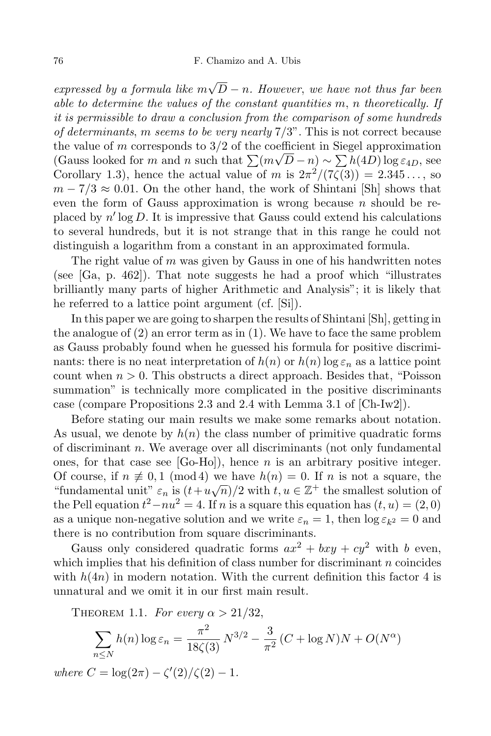expressed by a formula like  $m\sqrt{D} - n$ . However, we have not thus far been able to determine the values of the constant quantities m, n theoretically. If it is permissible to draw a conclusion from the comparison of some hundreds of determinants, m seems to be very nearly  $7/3$ ". This is not correct because the value of m corresponds to  $3/2$  of the coefficient in Siegel approximation (Gauss looked for m and n such that  $\sum (m\sqrt{D} - n) \sim \sum (h(4D)) \log \epsilon_{4D}$ , see Corollary 1.3), hence the actual value of m is  $2\pi^2/(7\zeta(3)) = 2.345...$ , so  $m - 7/3 \approx 0.01$ . On the other hand, the work of Shintani [Sh] shows that even the form of Gauss approximation is wrong because  $n$  should be replaced by n ′ log D. It is impressive that Gauss could extend his calculations to several hundreds, but it is not strange that in this range he could not distinguish a logarithm from a constant in an approximated formula.

The right value of  $m$  was given by Gauss in one of his handwritten notes (see [Ga, p. 462]). That note suggests he had a proof which "illustrates brilliantly many parts of higher Arithmetic and Analysis"; it is likely that he referred to a lattice point argument (cf. [Si]).

In this paper we are going to sharpen the results of Shintani [Sh], getting in the analogue of (2) an error term as in (1). We have to face the same problem as Gauss probably found when he guessed his formula for positive discriminants: there is no neat interpretation of  $h(n)$  or  $h(n) \log \varepsilon_n$  as a lattice point count when  $n > 0$ . This obstructs a direct approach. Besides that, "Poisson" summation" is technically more complicated in the positive discriminants case (compare Propositions 2.3 and 2.4 with Lemma 3.1 of [Ch-Iw2]).

Before stating our main results we make some remarks about notation. As usual, we denote by  $h(n)$  the class number of primitive quadratic forms of discriminant n. We average over all discriminants (not only fundamental ones, for that case see  $[Go-Ho]),$  hence n is an arbitrary positive integer. Of course, if  $n \neq 0, 1 \pmod{4}$  we have  $h(n) = 0$ . If n is not a square, the "fundamental unit"  $\varepsilon_n$  is  $(t+u\sqrt{n})/2$  with  $t, u \in \mathbb{Z}^+$  the smallest solution of the Pell equation  $t^2 - nu^2 = 4$ . If n is a square this equation has  $(t, u) = (2, 0)$ as a unique non-negative solution and we write  $\varepsilon_n = 1$ , then  $\log \varepsilon_{k^2} = 0$  and there is no contribution from square discriminants.

Gauss only considered quadratic forms  $ax^2 + bxy + cy^2$  with b even, which implies that his definition of class number for discriminant  $n$  coincides with  $h(4n)$  in modern notation. With the current definition this factor 4 is unnatural and we omit it in our first main result.

THEOREM 1.1. For every  $\alpha > 21/32$ ,

$$
\sum_{n \le N} h(n) \log \varepsilon_n = \frac{\pi^2}{18\zeta(3)} N^{3/2} - \frac{3}{\pi^2} (C + \log N)N + O(N^{\alpha})
$$

where  $C = \log(2\pi) - \zeta'(2)/\zeta(2) - 1$ .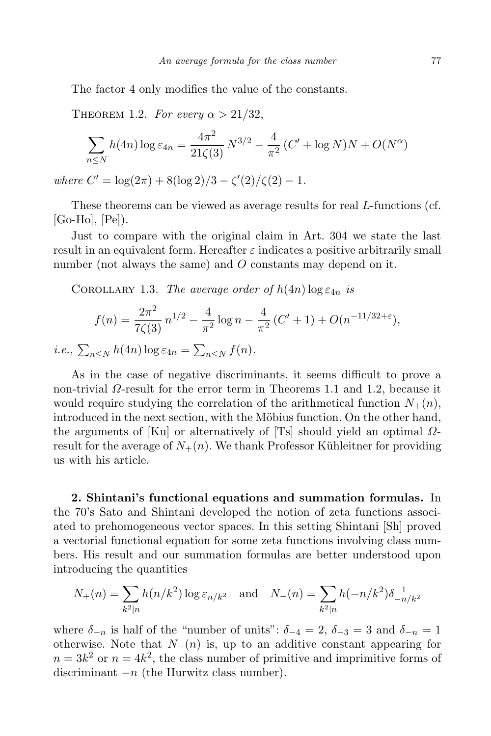The factor 4 only modifies the value of the constants.

THEOREM 1.2. For every  $\alpha > 21/32$ ,

$$
\sum_{n \le N} h(4n) \log \varepsilon_{4n} = \frac{4\pi^2}{21\zeta(3)} N^{3/2} - \frac{4}{\pi^2} (C' + \log N)N + O(N^{\alpha})
$$

where  $C' = \log(2\pi) + 8(\log 2)/3 - \zeta'(2)/\zeta(2) - 1.$ 

These theorems can be viewed as average results for real L-functions (cf. [Go-Ho], [Pe]).

Just to compare with the original claim in Art. 304 we state the last result in an equivalent form. Hereafter  $\varepsilon$  indicates a positive arbitrarily small number (not always the same) and O constants may depend on it.

COROLLARY 1.3. The average order of  $h(4n) \log \varepsilon_{4n}$  is

$$
f(n) = \frac{2\pi^2}{7\zeta(3)} n^{1/2} - \frac{4}{\pi^2} \log n - \frac{4}{\pi^2} (C' + 1) + O(n^{-11/32 + \varepsilon}),
$$

*i.e.*,  $\sum_{n\leq N} h(4n) \log \varepsilon_{4n} = \sum_{n\leq N} f(n)$ .

As in the case of negative discriminants, it seems difficult to prove a non-trivial Ω-result for the error term in Theorems 1.1 and 1.2, because it would require studying the correlation of the arithmetical function  $N_{+}(n)$ , introduced in the next section, with the Möbius function. On the other hand, the arguments of [Ku] or alternatively of [Ts] should yield an optimal  $\Omega$ result for the average of  $N_{+}(n)$ . We thank Professor Kühleitner for providing us with his article.

2. Shintani's functional equations and summation formulas. In the 70's Sato and Shintani developed the notion of zeta functions associated to prehomogeneous vector spaces. In this setting Shintani [Sh] proved a vectorial functional equation for some zeta functions involving class numbers. His result and our summation formulas are better understood upon introducing the quantities

$$
N_{+}(n) = \sum_{k^2|n} h(n/k^2) \log \varepsilon_{n/k^2} \quad \text{and} \quad N_{-}(n) = \sum_{k^2|n} h(-n/k^2) \delta_{-n/k^2}^{-1}
$$

where  $\delta_{-n}$  is half of the "number of units":  $\delta_{-4} = 2$ ,  $\delta_{-3} = 3$  and  $\delta_{-n} = 1$ otherwise. Note that  $N_-(n)$  is, up to an additive constant appearing for  $n = 3k^2$  or  $n = 4k^2$ , the class number of primitive and imprimitive forms of discriminant  $-n$  (the Hurwitz class number).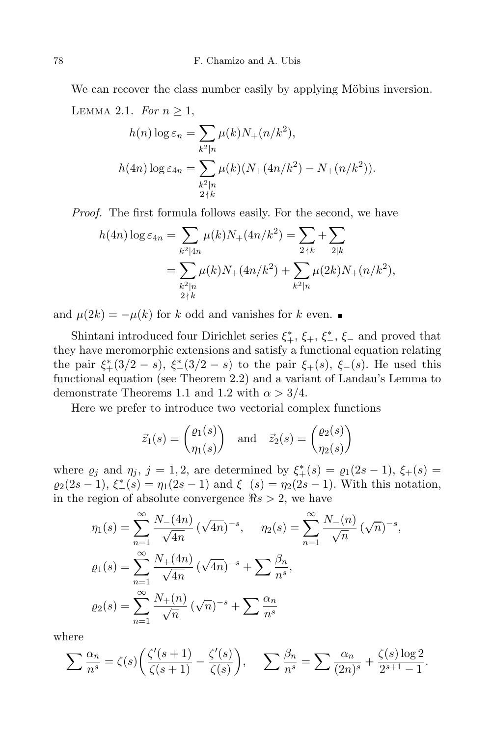We can recover the class number easily by applying Möbius inversion. LEMMA 2.1. For  $n \geq 1$ ,

$$
h(n) \log \varepsilon_n = \sum_{k^2|n} \mu(k) N_+(n/k^2),
$$
  

$$
h(4n) \log \varepsilon_{4n} = \sum_{\substack{k^2|n\\2\nmid k}} \mu(k) (N_+(4n/k^2) - N_+(n/k^2)).
$$

Proof. The first formula follows easily. For the second, we have

$$
h(4n) \log \varepsilon_{4n} = \sum_{k^2 \mid 4n} \mu(k) N_+(4n/k^2) = \sum_{2 \nmid k} \sum_{2 \mid k} + \sum_{2 \mid k} \mu(k) N_+(4n/k^2) + \sum_{k^2 \mid n} \mu(2k) N_+(n/k^2),
$$
  

$$
= \sum_{\substack{k^2 \mid n \\ 2 \nmid k}} \mu(k) N_+(4n/k^2) + \sum_{k^2 \mid n} \mu(2k) N_+(n/k^2),
$$

and  $\mu(2k) = -\mu(k)$  for k odd and vanishes for k even.

Shintani introduced four Dirichlet series  $\xi^*, \xi^*, \xi^*, \xi^-$  and proved that they have meromorphic extensions and satisfy a functional equation relating the pair  $\xi^*(3/2-s)$ ,  $\xi^*(3/2-s)$  to the pair  $\xi^*(s)$ ,  $\xi^-(s)$ . He used this functional equation (see Theorem 2.2) and a variant of Landau's Lemma to demonstrate Theorems 1.1 and 1.2 with  $\alpha > 3/4$ .

Here we prefer to introduce two vectorial complex functions

$$
\vec{z}_1(s) = \begin{pmatrix} \varrho_1(s) \\ \eta_1(s) \end{pmatrix}
$$
 and  $\vec{z}_2(s) = \begin{pmatrix} \varrho_2(s) \\ \eta_2(s) \end{pmatrix}$ 

where  $\varrho_j$  and  $\eta_j$ ,  $j = 1, 2$ , are determined by  $\xi^*_+(s) = \varrho_1(2s-1), \xi_+(s) =$  $\varrho_2(2s-1), \xi_{-}^*(s) = \eta_1(2s-1) \text{ and } \xi_{-}(s) = \eta_2(2s-1).$  With this notation, in the region of absolute convergence  $\Re s > 2$ , we have

$$
\eta_1(s) = \sum_{n=1}^{\infty} \frac{N_-(4n)}{\sqrt{4n}} (\sqrt{4n})^{-s}, \quad \eta_2(s) = \sum_{n=1}^{\infty} \frac{N_-(n)}{\sqrt{n}} (\sqrt{n})^{-s},
$$

$$
\varrho_1(s) = \sum_{n=1}^{\infty} \frac{N_+(4n)}{\sqrt{4n}} (\sqrt{4n})^{-s} + \sum_{n=1}^{\infty} \frac{\beta_n}{n^s},
$$

$$
\varrho_2(s) = \sum_{n=1}^{\infty} \frac{N_+(n)}{\sqrt{n}} (\sqrt{n})^{-s} + \sum_{n=1}^{\infty} \frac{\alpha_n}{n^s}
$$

where

$$
\sum \frac{\alpha_n}{n^s} = \zeta(s) \left( \frac{\zeta'(s+1)}{\zeta(s+1)} - \frac{\zeta'(s)}{\zeta(s)} \right), \quad \sum \frac{\beta_n}{n^s} = \sum \frac{\alpha_n}{(2n)^s} + \frac{\zeta(s) \log 2}{2^{s+1} - 1}.
$$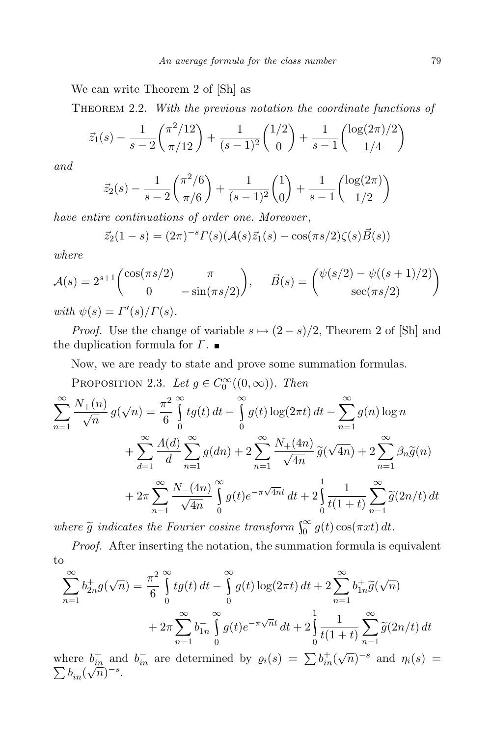We can write Theorem 2 of [Sh] as

THEOREM 2.2. With the previous notation the coordinate functions of

$$
\vec{z}_1(s) - \frac{1}{s-2} \binom{\pi^2/12}{\pi/12} + \frac{1}{(s-1)^2} \binom{1/2}{0} + \frac{1}{s-1} \binom{\log(2\pi)/2}{1/4}
$$

and

$$
\vec{z}_2(s) - \frac{1}{s-2} \binom{\pi^2/6}{\pi/6} + \frac{1}{(s-1)^2} \binom{1}{0} + \frac{1}{s-1} \binom{\log(2\pi)}{1/2}
$$

have entire continuations of order one. Moreover,

$$
\vec{z}_2(1-s) = (2\pi)^{-s} \Gamma(s) (\mathcal{A}(s)\vec{z}_1(s) - \cos(\pi s/2) \zeta(s) \vec{B}(s))
$$

where

$$
\mathcal{A}(s) = 2^{s+1} \begin{pmatrix} \cos(\pi s/2) & \pi \\ 0 & -\sin(\pi s/2) \end{pmatrix}, \qquad \vec{B}(s) = \begin{pmatrix} \psi(s/2) - \psi((s+1)/2) \\ \sec(\pi s/2) \end{pmatrix}
$$
\n
$$
\text{with } \psi(s) = \Gamma'(s)/\Gamma(s).
$$

*Proof.* Use the change of variable  $s \mapsto (2 - s)/2$ , Theorem 2 of [Sh] and the duplication formula for  $\Gamma$ .

Now, we are ready to state and prove some summation formulas.

PROPOSITION 2.3. Let  $g \in C_0^{\infty}((0, \infty))$ . Then

$$
\sum_{n=1}^{\infty} \frac{N_{+}(n)}{\sqrt{n}} g(\sqrt{n}) = \frac{\pi^{2}}{6} \int_{0}^{\infty} t g(t) dt - \int_{0}^{\infty} g(t) \log(2\pi t) dt - \sum_{n=1}^{\infty} g(n) \log n
$$
  
+ 
$$
\sum_{d=1}^{\infty} \frac{\Lambda(d)}{d} \sum_{n=1}^{\infty} g(dn) + 2 \sum_{n=1}^{\infty} \frac{N_{+}(4n)}{\sqrt{4n}} \tilde{g}(\sqrt{4n}) + 2 \sum_{n=1}^{\infty} \beta_{n} \tilde{g}(n)
$$
  
+ 
$$
2\pi \sum_{n=1}^{\infty} \frac{N_{-}(4n)}{\sqrt{4n}} \int_{0}^{\infty} g(t) e^{-\pi \sqrt{4n}t} dt + 2 \int_{0}^{1} \frac{1}{t(1+t)} \sum_{n=1}^{\infty} \tilde{g}(2n/t) dt
$$

where  $\tilde{g}$  indicates the Fourier cosine transform  $\int_0^\infty g(t) \cos(\pi x t) dt$ .

Proof. After inserting the notation, the summation formula is equivalent to

$$
\sum_{n=1}^{\infty} b_{2n}^{+} g(\sqrt{n}) = \frac{\pi^{2}}{6} \int_{0}^{\infty} t g(t) dt - \int_{0}^{\infty} g(t) \log(2\pi t) dt + 2 \sum_{n=1}^{\infty} b_{1n}^{+} \widetilde{g}(\sqrt{n}) + 2\pi \sum_{n=1}^{\infty} b_{1n}^{-} \int_{0}^{\infty} g(t) e^{-\pi \sqrt{n}t} dt + 2 \int_{0}^{1} \frac{1}{t(1+t)} \sum_{n=1}^{\infty} \widetilde{g}(2n/t) dt
$$

where  $b_{in}^+$  and  $b_{in}^-$  are determined by  $\varrho_i(s) = \sum b_{in}^+(\sqrt{n})^{-s}$  $\sum$ and  $\eta_i(s) =$  $b_{in}^-(\sqrt{n})^{-s}$ .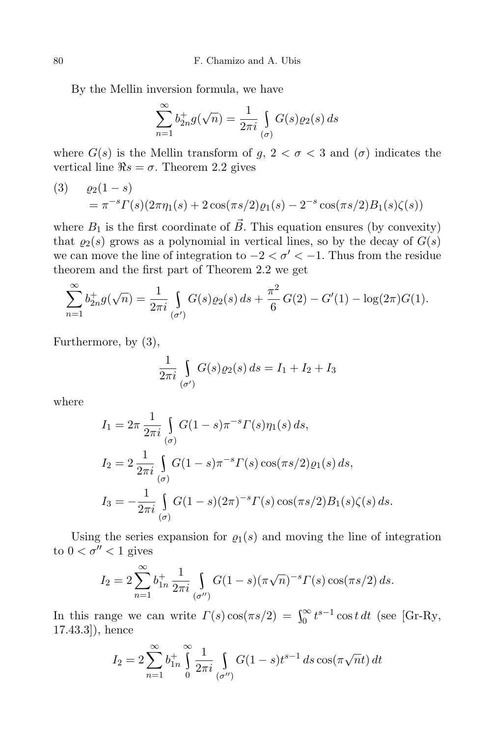By the Mellin inversion formula, we have

$$
\sum_{n=1}^{\infty} b_{2n}^+ g(\sqrt{n}) = \frac{1}{2\pi i} \int\limits_{(\sigma)} G(s) \varrho_2(s) \, ds
$$

where  $G(s)$  is the Mellin transform of  $g, 2 < \sigma < 3$  and  $(\sigma)$  indicates the vertical line  $\Re s = \sigma$ . Theorem 2.2 gives

(3) 
$$
\varrho_2(1-s) = \pi^{-s} \Gamma(s) (2\pi \eta_1(s) + 2\cos(\pi s/2) \varrho_1(s) - 2^{-s} \cos(\pi s/2) B_1(s) \zeta(s))
$$

where  $B_1$  is the first coordinate of  $\vec{B}$ . This equation ensures (by convexity) that  $\varrho_2(s)$  grows as a polynomial in vertical lines, so by the decay of  $G(s)$ we can move the line of integration to  $-2 < \sigma' < -1$ . Thus from the residue theorem and the first part of Theorem 2.2 we get

$$
\sum_{n=1}^{\infty} b_{2n}^{+} g(\sqrt{n}) = \frac{1}{2\pi i} \int_{(\sigma')} G(s) \varrho_{2}(s) ds + \frac{\pi^{2}}{6} G(2) - G'(1) - \log(2\pi) G(1).
$$

Furthermore, by (3),

$$
\frac{1}{2\pi i} \int\limits_{(\sigma')} G(s)\varrho_2(s) \, ds = I_1 + I_2 + I_3
$$

where

$$
I_1 = 2\pi \frac{1}{2\pi i} \int_{(\sigma)} G(1-s)\pi^{-s} \Gamma(s)\eta_1(s) ds,
$$
  
\n
$$
I_2 = 2 \frac{1}{2\pi i} \int_{(\sigma)} G(1-s)\pi^{-s} \Gamma(s) \cos(\pi s/2) \varrho_1(s) ds,
$$
  
\n
$$
I_3 = -\frac{1}{2\pi i} \int_{(\sigma)} G(1-s)(2\pi)^{-s} \Gamma(s) \cos(\pi s/2) B_1(s) \zeta(s) ds.
$$

Using the series expansion for  $\rho_1(s)$  and moving the line of integration to  $0 < \sigma'' < 1$  gives

$$
I_2 = 2 \sum_{n=1}^{\infty} b_{1n}^+ \frac{1}{2\pi i} \int_{(\sigma'')} G(1-s) (\pi \sqrt{n})^{-s} \Gamma(s) \cos(\pi s/2) \, ds.
$$

In this range we can write  $\Gamma(s) \cos(\pi s/2) = \int_0^\infty t^{s-1} \cos t \, dt$  (see [Gr-Ry, 17.43.3]), hence

$$
I_2 = 2 \sum_{n=1}^{\infty} b_{1n}^+ \int_{0}^{\infty} \frac{1}{2\pi i} \int_{(\sigma'')} G(1-s) t^{s-1} ds \cos(\pi \sqrt{n} t) dt
$$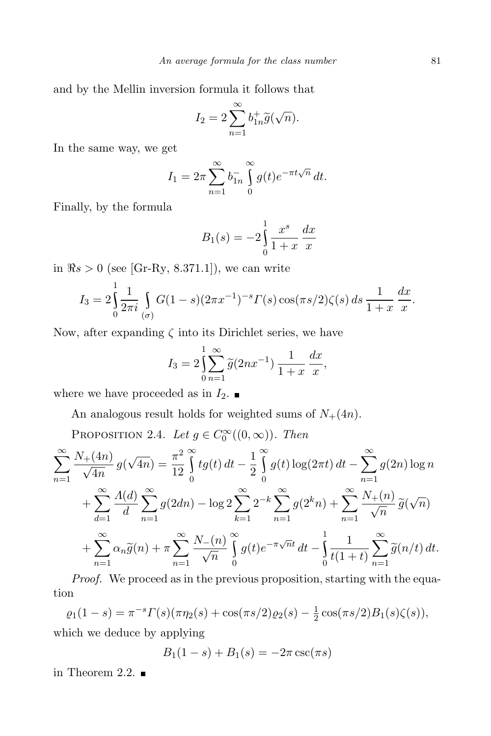and by the Mellin inversion formula it follows that

$$
I_2 = 2\sum_{n=1}^{\infty} b_{1n}^{+} \widetilde{g}(\sqrt{n}).
$$

In the same way, we get

$$
I_1 = 2\pi \sum_{n=1}^{\infty} b_{1n}^{-} \int_{0}^{\infty} g(t) e^{-\pi t \sqrt{n}} dt.
$$

Finally, by the formula

$$
B_1(s) = -2 \int_0^1 \frac{x^s}{1+x} \, \frac{dx}{x}
$$

in  $\Re s > 0$  (see [Gr-Ry, 8.371.1]), we can write

$$
I_3 = 2 \int_0^1 \frac{1}{2\pi i} \int_{(\sigma)} G(1-s) (2\pi x^{-1})^{-s} \Gamma(s) \cos(\pi s/2) \zeta(s) ds \frac{1}{1+x} \frac{dx}{x}.
$$

Now, after expanding  $\zeta$  into its Dirichlet series, we have

$$
I_3 = 2\left(\sum_{n=1}^1 \widetilde{g}(2nx^{-1})\frac{1}{1+x}\frac{dx}{x}\right)
$$

where we have proceeded as in  $I_2$ .

An analogous result holds for weighted sums of  $N_+(4n)$ .

PROPOSITION 2.4. Let  $g \in C_0^{\infty}((0,\infty))$ . Then

$$
\sum_{n=1}^{\infty} \frac{N_{+}(4n)}{\sqrt{4n}} g(\sqrt{4n}) = \frac{\pi^{2}}{12} \int_{0}^{\infty} t g(t) dt - \frac{1}{2} \int_{0}^{\infty} g(t) \log(2\pi t) dt - \sum_{n=1}^{\infty} g(2n) \log n
$$
  
+ 
$$
\sum_{d=1}^{\infty} \frac{\Lambda(d)}{d} \sum_{n=1}^{\infty} g(2dn) - \log 2 \sum_{k=1}^{\infty} 2^{-k} \sum_{n=1}^{\infty} g(2^{k}n) + \sum_{n=1}^{\infty} \frac{N_{+}(n)}{\sqrt{n}} \tilde{g}(\sqrt{n})
$$
  
+ 
$$
\sum_{n=1}^{\infty} \alpha_{n} \tilde{g}(n) + \pi \sum_{n=1}^{\infty} \frac{N_{-}(n)}{\sqrt{n}} \int_{0}^{\infty} g(t) e^{-\pi \sqrt{n}t} dt - \int_{0}^{1} \frac{1}{t(1+t)} \sum_{n=1}^{\infty} \tilde{g}(n/t) dt.
$$

Proof. We proceed as in the previous proposition, starting with the equation

 $\varrho_1(1-s) = \pi^{-s}\Gamma(s)(\pi\eta_2(s) + \cos(\pi s/2)\varrho_2(s) - \frac{1}{2})$  $\frac{1}{2}\cos(\pi s/2)B_1(s)\zeta(s)),$ which we deduce by applying

$$
B_1(1 - s) + B_1(s) = -2\pi \csc(\pi s)
$$

in Theorem 2.2.  $\blacksquare$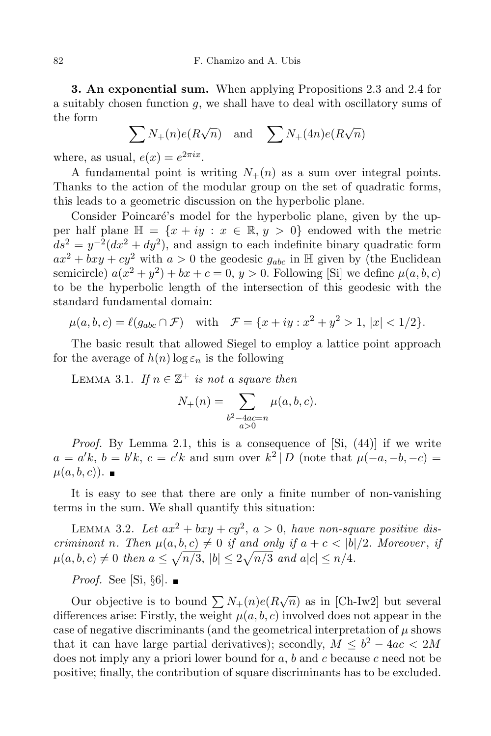82 F. Chamizo and A. Ubis

3. An exponential sum. When applying Propositions 2.3 and 2.4 for a suitably chosen function g, we shall have to deal with oscillatory sums of the form

$$
\sum N_{+}(n)e(R\sqrt{n}) \text{ and } \sum N_{+}(4n)e(R\sqrt{n})
$$

where, as usual,  $e(x) = e^{2\pi ix}$ .

A fundamental point is writing  $N_{+}(n)$  as a sum over integral points. Thanks to the action of the modular group on the set of quadratic forms, this leads to a geometric discussion on the hyperbolic plane.

Consider Poincaré's model for the hyperbolic plane, given by the upper half plane  $\mathbb{H} = \{x + iy : x \in \mathbb{R}, y > 0\}$  endowed with the metric  $ds^2 = y^{-2}(dx^2 + dy^2)$ , and assign to each indefinite binary quadratic form  $ax^2 + bxy + cy^2$  with  $a > 0$  the geodesic  $g_{abc}$  in H given by (the Euclidean semicircle)  $a(x^2 + y^2) + bx + c = 0, y > 0$ . Following [Si] we define  $\mu(a, b, c)$ to be the hyperbolic length of the intersection of this geodesic with the standard fundamental domain:

$$
\mu(a, b, c) = \ell(g_{abc} \cap \mathcal{F})
$$
 with  $\mathcal{F} = \{x + iy : x^2 + y^2 > 1, |x| < 1/2\}.$ 

The basic result that allowed Siegel to employ a lattice point approach for the average of  $h(n) \log \varepsilon_n$  is the following

LEMMA 3.1. If  $n \in \mathbb{Z}^+$  is not a square then

$$
N_{+}(n) = \sum_{\substack{b^2 - 4ac = n \\ a > 0}} \mu(a, b, c).
$$

Proof. By Lemma 2.1, this is a consequence of [Si,  $(44)$ ] if we write  $a = a'k$ ,  $b = b'k$ ,  $c = c'k$  and sum over  $k^2 | D$  (note that  $\mu(-a, -b, -c) =$  $\mu(a, b, c)$ .

It is easy to see that there are only a finite number of non-vanishing terms in the sum. We shall quantify this situation:

LEMMA 3.2. Let  $ax^2 + bxy + cy^2$ ,  $a > 0$ , have non-square positive discriminant n. Then  $\mu(a, b, c) \neq 0$  if and only if  $a + c < |b|/2$ . Moreover, if  $\mu(a, b, c) \neq 0$  then  $a \leq \sqrt{n/3}$ ,  $|b| \leq 2\sqrt{n/3}$  and  $a|c| \leq n/4$ .

*Proof.* See [Si,  $\S6$ ].

Our objective is to bound  $\sum N_+(n)e(R\sqrt{n})$  as in [Ch-Iw2] but several differences arise: Firstly, the weight  $\mu(a, b, c)$  involved does not appear in the case of negative discriminants (and the geometrical interpretation of  $\mu$  shows that it can have large partial derivatives); secondly,  $M \leq b^2 - 4ac < 2M$ does not imply any a priori lower bound for  $a, b$  and c because c need not be positive; finally, the contribution of square discriminants has to be excluded.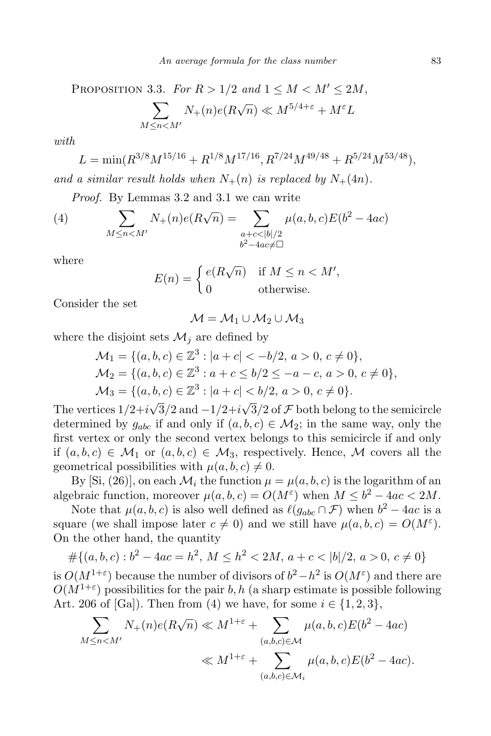PROPOSITION 3.3. For 
$$
R > 1/2
$$
 and  $1 \leq M < M' \leq 2M$ ,  
\n
$$
\sum_{M \leq n < M'} N_{+}(n)e(R\sqrt{n}) \ll M^{5/4+\varepsilon} + M^{\varepsilon}L
$$

with

$$
L = \min(R^{3/8}M^{15/16} + R^{1/8}M^{17/16}, R^{7/24}M^{49/48} + R^{5/24}M^{53/48}),
$$

and a similar result holds when  $N_{+}(n)$  is replaced by  $N_{+}(4n)$ .

Proof. By Lemmas 3.2 and 3.1 we can write

(4) 
$$
\sum_{M \le n < M'} N_{+}(n)e(R\sqrt{n}) = \sum_{\substack{a+c < |b|/2 \\ b^2 - 4ac \neq \Box}} \mu(a,b,c)E(b^2 - 4ac)
$$

where

$$
E(n) = \begin{cases} e(R\sqrt{n}) & \text{if } M \le n < M', \\ 0 & \text{otherwise.} \end{cases}
$$

Consider the set

$$
\mathcal{M} = \mathcal{M}_1 \cup \mathcal{M}_2 \cup \mathcal{M}_3
$$

where the disjoint sets  $\mathcal{M}_i$  are defined by

$$
\mathcal{M}_1 = \{ (a, b, c) \in \mathbb{Z}^3 : |a + c| < -b/2, a > 0, c \neq 0 \},
$$
\n
$$
\mathcal{M}_2 = \{ (a, b, c) \in \mathbb{Z}^3 : a + c \leq b/2 \leq -a - c, a > 0, c \neq 0 \},
$$
\n
$$
\mathcal{M}_3 = \{ (a, b, c) \in \mathbb{Z}^3 : |a + c| < b/2, a > 0, c \neq 0 \}.
$$

The vertices  $1/2+i\sqrt{3}/2$  and  $-1/2+i\sqrt{3}/2$  of  $\mathcal F$  both belong to the semicircle determined by  $g_{abc}$  if and only if  $(a, b, c) \in M_2$ ; in the same way, only the first vertex or only the second vertex belongs to this semicircle if and only if  $(a, b, c) \in \mathcal{M}_1$  or  $(a, b, c) \in \mathcal{M}_3$ , respectively. Hence, M covers all the geometrical possibilities with  $\mu(a, b, c) \neq 0$ .

By [Si, (26)], on each  $\mathcal{M}_i$  the function  $\mu = \mu(a, b, c)$  is the logarithm of an algebraic function, moreover  $\mu(a, b, c) = O(M^{\varepsilon})$  when  $M \leq b^2 - 4ac < 2M$ .

Note that  $\mu(a, b, c)$  is also well defined as  $\ell(g_{abc} \cap \mathcal{F})$  when  $b^2 - 4ac$  is a square (we shall impose later  $c \neq 0$ ) and we still have  $\mu(a, b, c) = O(M^{\varepsilon}).$ On the other hand, the quantity

$$
#\{(a,b,c):b^2-4ac=h^2,\,M\leq h^2<2M,\,a+c<|b|/2,\,a>0,\,c\neq 0\}
$$

is  $O(M^{1+\epsilon})$  because the number of divisors of  $b^2 - h^2$  is  $O(M^{\epsilon})$  and there are  $O(M^{1+\epsilon})$  possibilities for the pair b, h (a sharp estimate is possible following Art. 206 of [Ga]). Then from (4) we have, for some  $i \in \{1,2,3\}$ ,

$$
\sum_{M \le n < M'} N_{+}(n)e(R\sqrt{n}) \ll M^{1+\varepsilon} + \sum_{(a,b,c) \in \mathcal{M}} \mu(a,b,c)E(b^2 - 4ac)
$$
\n
$$
\ll M^{1+\varepsilon} + \sum_{(a,b,c) \in \mathcal{M}_i} \mu(a,b,c)E(b^2 - 4ac).
$$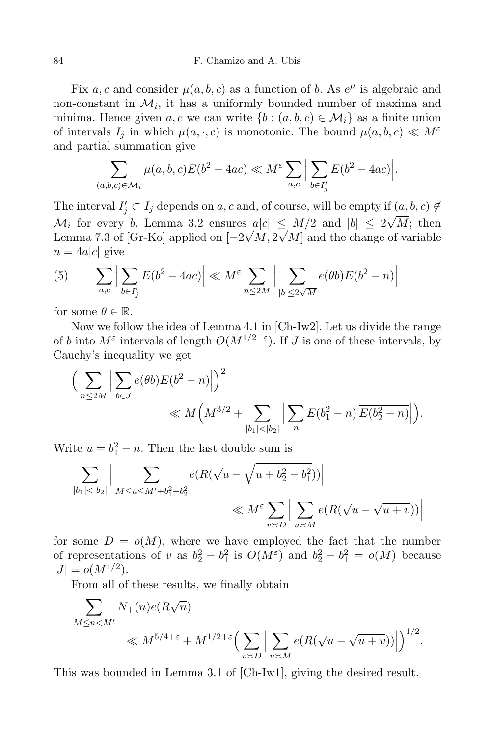Fix a, c and consider  $\mu(a, b, c)$  as a function of b. As  $e^{\mu}$  is algebraic and non-constant in  $\mathcal{M}_i$ , it has a uniformly bounded number of maxima and minima. Hence given a, c we can write  $\{b : (a, b, c) \in \mathcal{M}_i\}$  as a finite union of intervals  $I_j$  in which  $\mu(a, \cdot, c)$  is monotonic. The bound  $\mu(a, b, c) \ll M^{\varepsilon}$ and partial summation give

$$
\sum_{(a,b,c)\in\mathcal{M}_i}\mu(a,b,c)E(b^2-4ac)\ll M^{\varepsilon}\sum_{a,c}\Big|\sum_{b\in I'_j}E(b^2-4ac)\Big|.
$$

The interval  $I'_j \subset I_j$  depends on a, c and, of course, will be empty if  $(a, b, c) \notin$  $\mathcal{M}_i$  for every b. Lemma 3.2 ensures  $a|c| \leq M/2$  and  $|b| \leq 2\sqrt{M}$ ; then Lemma 7.3 of [Gr-Ko] applied on  $[-2\sqrt{M}, 2\sqrt{M}]$  and the change of variable  $n = 4a|c|$  give

(5) 
$$
\sum_{a,c} \left| \sum_{b \in I'_j} E(b^2 - 4ac) \right| \ll M^{\varepsilon} \sum_{n \le 2M} \left| \sum_{|b| \le 2\sqrt{M}} e(\theta b) E(b^2 - n) \right|
$$

for some  $\theta \in \mathbb{R}$ .

Now we follow the idea of Lemma 4.1 in [Ch-Iw2]. Let us divide the range of b into  $M^{\varepsilon}$  intervals of length  $O(M^{1/2-\varepsilon})$ . If J is one of these intervals, by Cauchy's inequality we get

$$
\left(\sum_{n\leq 2M} \left|\sum_{b\in J} e(\theta b) E(b^2 - n)\right|\right)^2 \ll M\left(M^{3/2} + \sum_{|b_1|<|b_2|} \left|\sum_n E(b_1^2 - n) \overline{E(b_2^2 - n)}\right|\right).
$$

Write  $u = b_1^2 - n$ . Then the last double sum is

$$
\sum_{|b_1| < |b_2|} \Big| \sum_{M \le u \le M' + b_1^2 - b_2^2} e(R(\sqrt{u} - \sqrt{u + b_2^2 - b_1^2})) \Big|
$$
\n
$$
\ll M^{\varepsilon} \sum_{v \asymp D} \Big| \sum_{u \asymp M} e(R(\sqrt{u} - \sqrt{u + v})) \Big|
$$

for some  $D = o(M)$ , where we have employed the fact that the number of representations of v as  $b_2^2 - b_1^2$  is  $O(M^{\epsilon})$  and  $b_2^2 - b_1^2 = o(M)$  because  $|J| = o(M^{1/2}).$ 

From all of these results, we finally obtain

$$
\sum_{M \leq n < M'} N_{+}(n) e(R\sqrt{n}) \ll M^{5/4 + \varepsilon} + M^{1/2 + \varepsilon} \Big( \sum_{v \asymp D} \Big| \sum_{u \asymp M} e(R(\sqrt{u} - \sqrt{u} + v)) \Big| \Big)^{1/2}.
$$

This was bounded in Lemma 3.1 of [Ch-Iw1], giving the desired result.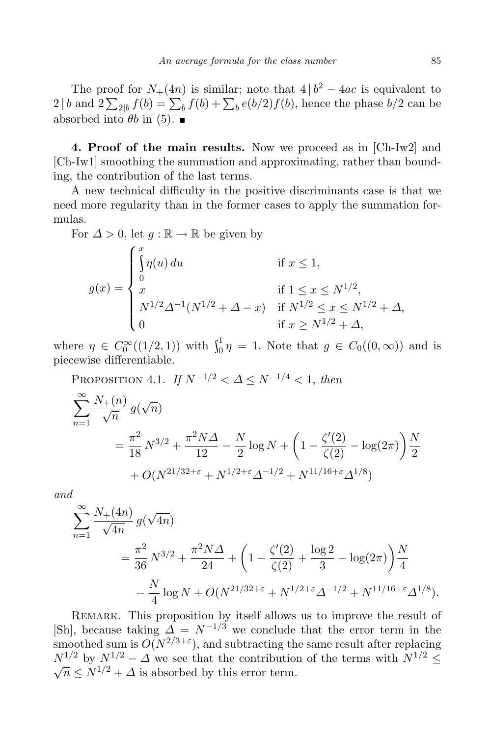The proof for  $N_+(4n)$  is similar; note that  $4 | b^2 - 4ac$  is equivalent to  $2 \mid b$  and  $2 \sum_{2|b} f(b) = \sum_{b} f(b) + \sum_{b} e(b/2) f(b)$ , hence the phase  $b/2$  can be absorbed into  $\theta b$  in (5).

4. Proof of the main results. Now we proceed as in [Ch-Iw2] and [Ch-Iw1] smoothing the summation and approximating, rather than bounding, the contribution of the last terms.

A new technical difficulty in the positive discriminants case is that we need more regularity than in the former cases to apply the summation formulas.

For  $\Delta > 0$ , let  $q : \mathbb{R} \to \mathbb{R}$  be given by

$$
g(x) = \begin{cases} \int_{0}^{x} \eta(u) du & \text{if } x \leq 1, \\ 0 & \text{if } 1 \leq x \leq N^{1/2}, \\ N^{1/2} \Delta^{-1} (N^{1/2} + \Delta - x) & \text{if } N^{1/2} \leq x \leq N^{1/2} + \Delta, \\ 0 & \text{if } x \geq N^{1/2} + \Delta, \end{cases}
$$

where  $\eta \in C_0^{\infty}((1/2, 1))$  with  $\int_0^1 \eta = 1$ . Note that  $g \in C_0((0, \infty))$  and is piecewise differentiable.

PROPOSITION 4.1. If  $N^{-1/2} < \Delta \le N^{-1/4} < 1$ , then

$$
\sum_{n=1}^{\infty} \frac{N_{+}(n)}{\sqrt{n}} g(\sqrt{n})
$$
  
=  $\frac{\pi^{2}}{18} N^{3/2} + \frac{\pi^{2} N \Delta}{12} - \frac{N}{2} \log N + \left(1 - \frac{\zeta'(2)}{\zeta(2)} - \log(2\pi)\right) \frac{N}{2}$   
+  $O(N^{21/32 + \varepsilon} + N^{1/2 + \varepsilon} \Delta^{-1/2} + N^{11/16 + \varepsilon} \Delta^{1/8})$ 

and

$$
\sum_{n=1}^{\infty} \frac{N_+(4n)}{\sqrt{4n}} g(\sqrt{4n})
$$
  
=  $\frac{\pi^2}{36} N^{3/2} + \frac{\pi^2 N \Delta}{24} + \left(1 - \frac{\zeta'(2)}{\zeta(2)} + \frac{\log 2}{3} - \log(2\pi)\right) \frac{N}{4}$   
-  $\frac{N}{4} \log N + O(N^{21/32 + \epsilon} + N^{1/2 + \epsilon} \Delta^{-1/2} + N^{11/16 + \epsilon} \Delta^{1/8}).$ 

REMARK. This proposition by itself allows us to improve the result of [Sh], because taking  $\overline{\Delta} = N^{-1/3}$  we conclude that the error term in the smoothed sum is  $O(N^{2/3+\epsilon})$ , and subtracting the same result after replacing  $N^{1/2}$  by  $N^{1/2} - \Delta$  we see that the contribution of the terms with  $N^{1/2} \leq$  $\sqrt{n} \leq N^{1/2} + \Delta$  is absorbed by this error term.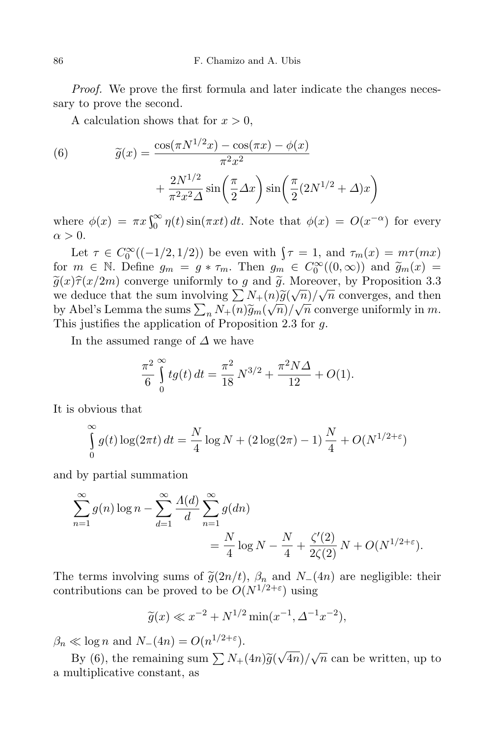Proof. We prove the first formula and later indicate the changes necessary to prove the second.

A calculation shows that for  $x > 0$ ,

(6) 
$$
\widetilde{g}(x) = \frac{\cos(\pi N^{1/2}x) - \cos(\pi x) - \phi(x)}{\pi^2 x^2} + \frac{2N^{1/2}}{\pi^2 x^2 \Delta} \sin\left(\frac{\pi}{2}\Delta x\right) \sin\left(\frac{\pi}{2}(2N^{1/2} + \Delta)x\right)
$$

where  $\phi(x) = \pi x \int_0^\infty \eta(t) \sin(\pi x t) dt$ . Note that  $\phi(x) = O(x^{-\alpha})$  for every  $\alpha > 0$ .

Let  $\tau \in C_0^{\infty}((-1/2, 1/2))$  be even with  $\tau = 1$ , and  $\tau_m(x) = m\tau(mx)$ for  $m \in \mathbb{N}$ . Define  $g_m = g * \tau_m$ . Then  $g_m \in C_0^{\infty}((0, \infty))$  and  $\widetilde{g}_m(x) = \widetilde{\chi}(\sigma) \widehat{\chi}(\sigma/2m)$  converges with we can  $\widetilde{\chi}$ . Moreover, the Deconsition 2.2  $\tilde{g}(x)\tilde{\tau}(x/2m)$  converge uniformly to g and  $\tilde{g}$ . Moreover, by Proposition 3.3 we deduce that the sum involving  $\sum_{i=1}^{N} N_{+}(n) \widetilde{g}(\sqrt{n})/\sqrt{n}$  converges, and then by Abel's Lemma the sums  $\sum_{n} N_{+}(n) \widetilde{g}_{m}(\sqrt{n}) / \sqrt{n}$  converge uniformly in m. This justifies the application of Proposition 2.3 for g.

In the assumed range of  $\Delta$  we have

$$
\frac{\pi^2}{6} \int_0^\infty t g(t) dt = \frac{\pi^2}{18} N^{3/2} + \frac{\pi^2 N \Delta}{12} + O(1).
$$

It is obvious that

$$
\int_{0}^{\infty} g(t) \log(2\pi t) dt = \frac{N}{4} \log N + (2 \log(2\pi) - 1) \frac{N}{4} + O(N^{1/2 + \varepsilon})
$$

and by partial summation

$$
\sum_{n=1}^{\infty} g(n) \log n - \sum_{d=1}^{\infty} \frac{\Lambda(d)}{d} \sum_{n=1}^{\infty} g(dn) = \frac{N}{4} \log N - \frac{N}{4} + \frac{\zeta'(2)}{2\zeta(2)} N + O(N^{1/2 + \varepsilon}).
$$

The terms involving sums of  $\tilde{g}(2n/t)$ ,  $\beta_n$  and  $N_-(4n)$  are negligible: their contributions can be proved to be  $O(N^{1/2+\epsilon})$  using

$$
\widetilde{g}(x) \ll x^{-2} + N^{1/2} \min(x^{-1}, \Delta^{-1} x^{-2}),
$$

 $\beta_n \ll \log n$  and  $N_-(4n) = O(n^{1/2+\epsilon}).$ 

By (6), the remaining sum  $\sum N_+(4n)\tilde{g}(\sqrt{4n})/\sqrt{n}$  can be written, up to a multiplicative constant, as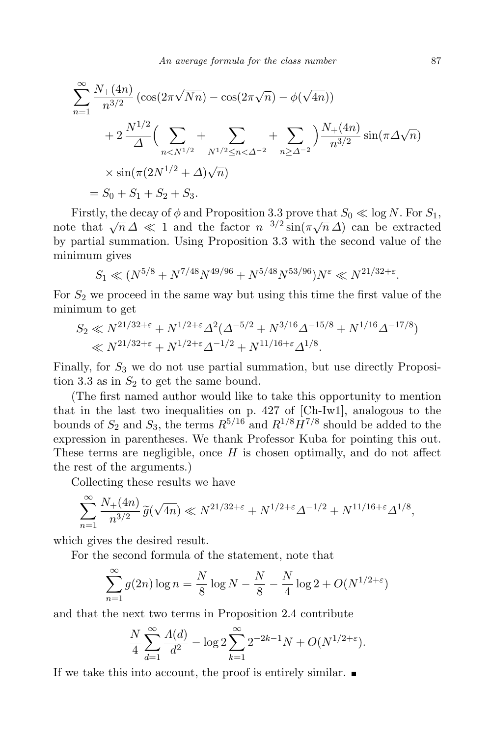$$
\sum_{n=1}^{\infty} \frac{N_+(4n)}{n^{3/2}} \left(\cos(2\pi\sqrt{Nn}) - \cos(2\pi\sqrt{n}) - \phi(\sqrt{4n})\right)
$$
  
+ 
$$
2\frac{N^{1/2}}{\Delta} \left(\sum_{n < N^{1/2}} + \sum_{N^{1/2} \le n < \Delta^{-2}} + \sum_{n \ge \Delta^{-2}}\right) \frac{N_+(4n)}{n^{3/2}} \sin(\pi \Delta \sqrt{n})
$$
  

$$
\times \sin(\pi (2N^{1/2} + \Delta)\sqrt{n})
$$
  
=  $S_0 + S_1 + S_2 + S_3.$ 

Firstly, the decay of  $\phi$  and Proposition 3.3 prove that  $S_0 \ll \log N$ . For  $S_1$ , note that  $\sqrt{n}\,\Delta \ll 1$  and the factor  $n^{-3/2}\sin(\pi\sqrt{n}\,\Delta)$  can be extracted by partial summation. Using Proposition 3.3 with the second value of the minimum gives

$$
S_1 \ll (N^{5/8} + N^{7/48} N^{49/96} + N^{5/48} N^{53/96}) N^{\varepsilon} \ll N^{21/32 + \varepsilon}
$$

For  $S_2$  we proceed in the same way but using this time the first value of the minimum to get

$$
S_2 \ll N^{21/32+\epsilon} + N^{1/2+\epsilon} \Delta^2 (\Delta^{-5/2} + N^{3/16} \Delta^{-15/8} + N^{1/16} \Delta^{-17/8})
$$
  

$$
\ll N^{21/32+\epsilon} + N^{1/2+\epsilon} \Delta^{-1/2} + N^{11/16+\epsilon} \Delta^{1/8}.
$$

Finally, for  $S_3$  we do not use partial summation, but use directly Proposition 3.3 as in  $S_2$  to get the same bound.

(The first named author would like to take this opportunity to mention that in the last two inequalities on p. 427 of [Ch-Iw1], analogous to the bounds of  $S_2$  and  $S_3$ , the terms  $R^{5/16}$  and  $R^{1/8}H^{7/8}$  should be added to the expression in parentheses. We thank Professor Kuba for pointing this out. These terms are negligible, once  $H$  is chosen optimally, and do not affect the rest of the arguments.)

Collecting these results we have

$$
\sum_{n=1}^{\infty} \frac{N_+(4n)}{n^{3/2}} \widetilde{g}(\sqrt{4n}) \ll N^{21/32+\varepsilon} + N^{1/2+\varepsilon} \Delta^{-1/2} + N^{11/16+\varepsilon} \Delta^{1/8},
$$

which gives the desired result.

For the second formula of the statement, note that

$$
\sum_{n=1}^{\infty} g(2n) \log n = \frac{N}{8} \log N - \frac{N}{8} - \frac{N}{4} \log 2 + O(N^{1/2 + \varepsilon})
$$

and that the next two terms in Proposition 2.4 contribute

$$
\frac{N}{4} \sum_{d=1}^{\infty} \frac{\Lambda(d)}{d^2} - \log 2 \sum_{k=1}^{\infty} 2^{-2k-1} N + O(N^{1/2 + \varepsilon}).
$$

If we take this into account, the proof is entirely similar.  $\blacksquare$ 

.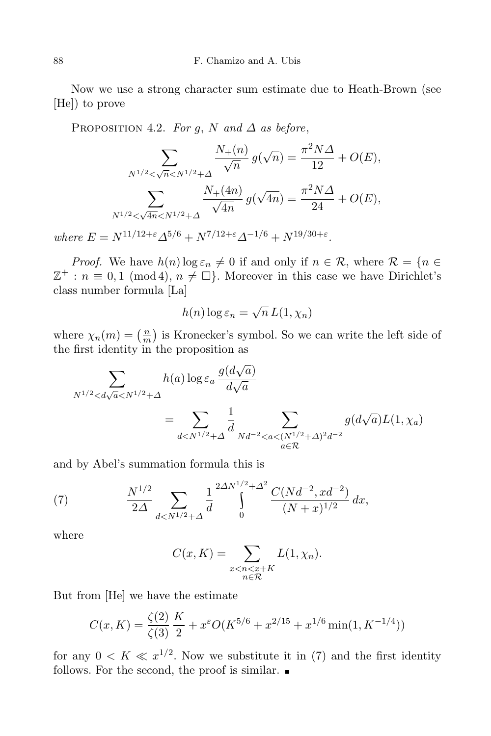Now we use a strong character sum estimate due to Heath-Brown (see [He]) to prove

PROPOSITION 4.2. For q, N and  $\Delta$  as before,

$$
\sum_{N^{1/2} < \sqrt{n} < N^{1/2} + \Delta} \frac{N_+(n)}{\sqrt{n}} g(\sqrt{n}) = \frac{\pi^2 N \Delta}{12} + O(E),
$$
  

$$
\sum_{N^{1/2} < \sqrt{4n} < N^{1/2} + \Delta} \frac{N_+(4n)}{\sqrt{4n}} g(\sqrt{4n}) = \frac{\pi^2 N \Delta}{24} + O(E),
$$

where  $E = N^{11/12 + \epsilon} \Delta^{5/6} + N^{7/12 + \epsilon} \Delta^{-1/6} + N^{19/30 + \epsilon}$ .

*Proof.* We have  $h(n) \log \varepsilon_n \neq 0$  if and only if  $n \in \mathcal{R}$ , where  $\mathcal{R} = \{n \in \mathcal{R} | n \in \mathcal{R} \}$  $\mathbb{Z}^+ : n \equiv 0, 1 \pmod{4}, n \neq \Box$ . Moreover in this case we have Dirichlet's class number formula [La]

$$
h(n) \log \varepsilon_n = \sqrt{n} L(1, \chi_n)
$$

where  $\chi_n(m) = \left(\frac{m}{m}\right)$  $\frac{n}{m}$ ) is Kronecker's symbol. So we can write the left side of the first identity in the proposition as

$$
\sum_{N^{1/2} < d\sqrt{a} < N^{1/2} + \Delta} h(a) \log \varepsilon_a \frac{g(d\sqrt{a})}{d\sqrt{a}}
$$
\n
$$
= \sum_{d < N^{1/2} + \Delta} \frac{1}{d} \sum_{Nd^{-2} < a < (N^{1/2} + \Delta)^2 d^{-2}} g(d\sqrt{a}) L(1, \chi_a)
$$

and by Abel's summation formula this is

(7) 
$$
\frac{N^{1/2}}{2\Delta} \sum_{d < N^{1/2} + \Delta} \frac{1}{d} \int_{0}^{2\Delta N^{1/2} + \Delta^2} \frac{C(Nd^{-2}, xd^{-2})}{(N+x)^{1/2}} dx,
$$

where

$$
C(x, K) = \sum_{\substack{x < n < x + K \\ n \in \mathcal{R}}} L(1, \chi_n).
$$

But from [He] we have the estimate

$$
C(x,K) = \frac{\zeta(2)}{\zeta(3)} \frac{K}{2} + x^{\varepsilon} O(K^{5/6} + x^{2/15} + x^{1/6} \min(1, K^{-1/4}))
$$

for any  $0 \lt K \ll x^{1/2}$ . Now we substitute it in (7) and the first identity follows. For the second, the proof is similar.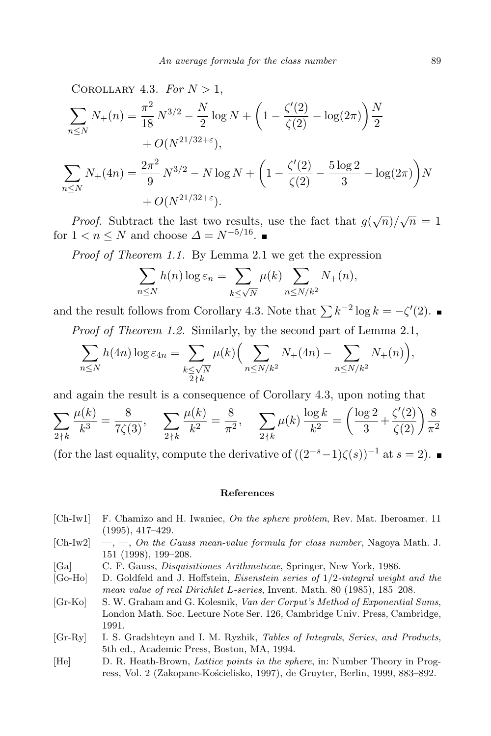COROLLARY 4.3. For  $N > 1$ ,

$$
\sum_{n\leq N} N_{+}(n) = \frac{\pi^{2}}{18} N^{3/2} - \frac{N}{2} \log N + \left( 1 - \frac{\zeta'(2)}{\zeta(2)} - \log(2\pi) \right) \frac{N}{2}
$$
  
+  $O(N^{21/32+\varepsilon}),$   

$$
\sum_{n\leq N} N_{+}(4n) = \frac{2\pi^{2}}{9} N^{3/2} - N \log N + \left( 1 - \frac{\zeta'(2)}{\zeta(2)} - \frac{5 \log 2}{3} - \log(2\pi) \right) N
$$
  
+  $O(N^{21/32+\varepsilon}).$ 

*Proof.* Subtract the last two results, use the fact that  $g(\sqrt{n})/\sqrt{n} = 1$ for  $1 < n \leq N$  and choose  $\Delta = N^{-5/16}$ .

Proof of Theorem 1.1. By Lemma 2.1 we get the expression

$$
\sum_{n \le N} h(n) \log \varepsilon_n = \sum_{k \le \sqrt{N}} \mu(k) \sum_{n \le N/k^2} N_+(n),
$$

and the result follows from Corollary 4.3. Note that  $\sum k^{-2} \log k = -\zeta'(2)$ .

Proof of Theorem 1.2. Similarly, by the second part of Lemma 2.1,

$$
\sum_{n\leq N} h(4n)\log \varepsilon_{4n} = \sum_{\substack{k\leq \sqrt{N}\\2\nmid k}} \mu(k) \Big(\sum_{n\leq N/k^2} N_{+}(4n) - \sum_{n\leq N/k^2} N_{+}(n)\Big),
$$

and again the result is a consequence of Corollary 4.3, upon noting that

$$
\sum_{2 \nmid k} \frac{\mu(k)}{k^3} = \frac{8}{7\zeta(3)}, \quad \sum_{2 \nmid k} \frac{\mu(k)}{k^2} = \frac{8}{\pi^2}, \quad \sum_{2 \nmid k} \mu(k) \frac{\log k}{k^2} = \left(\frac{\log 2}{3} + \frac{\zeta'(2)}{\zeta(2)}\right) \frac{8}{\pi^2}
$$

(for the last equality, compute the derivative of  $((2^{-s}-1)\zeta(s))^{-1}$  at  $s=2$ ).

## References

- [Ch-Iw1] F. Chamizo and H. Iwaniec, On the sphere problem, Rev. Mat. Iberoamer. 11 (1995), 417–429.
- $[Ch-Iw2] \quad -$ ,  $\quad$ ,  $On$  the Gauss mean-value formula for class number, Nagoya Math. J. 151 (1998), 199–208.
- [Ga] C. F. Gauss, Disquisitiones Arithmeticae, Springer, New York, 1986.
- [Go-Ho] D. Goldfeld and J. Hoffstein, Eisenstein series of 1/2-integral weight and the mean value of real Dirichlet L-series, Invent. Math. 80 (1985), 185–208.
- [Gr-Ko] S. W. Graham and G. Kolesnik, Van der Corput's Method of Exponential Sums, London Math. Soc. Lecture Note Ser. 126, Cambridge Univ. Press, Cambridge, 1991.
- [Gr-Ry] I. S. Gradshteyn and I. M. Ryzhik, Tables of Integrals, Series, and Products, 5th ed., Academic Press, Boston, MA, 1994.
- [He] D. R. Heath-Brown, Lattice points in the sphere, in: Number Theory in Progress, Vol. 2 (Zakopane-Kościelisko, 1997), de Gruyter, Berlin, 1999, 883–892.